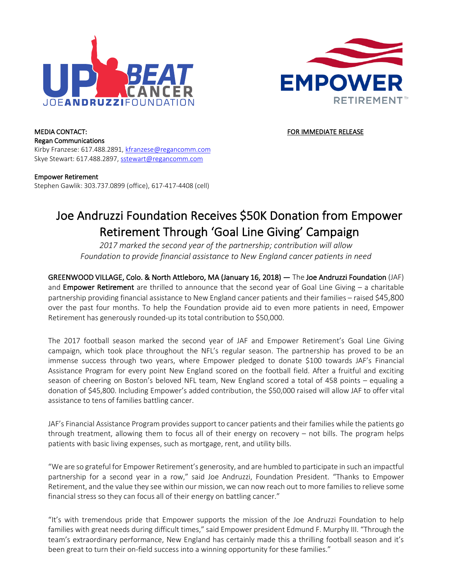



MEDIA CONTACT: THE SECOND SECOND ASSESSED AS A RESIDENCE OF THE SECOND ASSESSED FOR IMMEDIATE RELEASE Regan Communications Kirby Franzese: 617.488.2891, kfranzese@regancomm.com Skye Stewart: 617.488.2897, sstewart@regancomm.com

Empower Retirement Stephen Gawlik: 303.737.0899 (office), 617-417-4408 (cell)

## Joe Andruzzi Foundation Receives \$50K Donation from Empower Retirement Through 'Goal Line Giving' Campaign

*2017 marked the second year of the partnership; contribution will allow Foundation to provide financial assistance to New England cancer patients in need*

GREENWOOD VILLAGE, Colo. & North Attleboro, MA (January 16, 2018) — The Joe Andruzzi Foundation (JAF) and **Empower Retirement** are thrilled to announce that the second year of Goal Line Giving  $-$  a charitable partnership providing financial assistance to New England cancer patients and their families – raised \$45,800 over the past four months. To help the Foundation provide aid to even more patients in need, Empower Retirement has generously rounded-up its total contribution to \$50,000.

The 2017 football season marked the second year of JAF and Empower Retirement's Goal Line Giving campaign, which took place throughout the NFL's regular season. The partnership has proved to be an immense success through two years, where Empower pledged to donate \$100 towards JAF's Financial Assistance Program for every point New England scored on the football field. After a fruitful and exciting season of cheering on Boston's beloved NFL team, New England scored a total of 458 points – equaling a donation of \$45,800. Including Empower's added contribution, the \$50,000 raised will allow JAF to offer vital assistance to tens of families battling cancer.

JAF's Financial Assistance Program provides support to cancer patients and their families while the patients go through treatment, allowing them to focus all of their energy on recovery – not bills. The program helps patients with basic living expenses, such as mortgage, rent, and utility bills.

"We are so grateful for Empower Retirement's generosity, and are humbled to participate in such an impactful partnership for a second year in a row," said Joe Andruzzi, Foundation President. "Thanks to Empower Retirement, and the value they see within our mission, we can now reach out to more families to relieve some financial stress so they can focus all of their energy on battling cancer."

"It's with tremendous pride that Empower supports the mission of the Joe Andruzzi Foundation to help families with great needs during difficult times," said Empower president Edmund F. Murphy III. "Through the team's extraordinary performance, New England has certainly made this a thrilling football season and it's been great to turn their on-field success into a winning opportunity for these families."